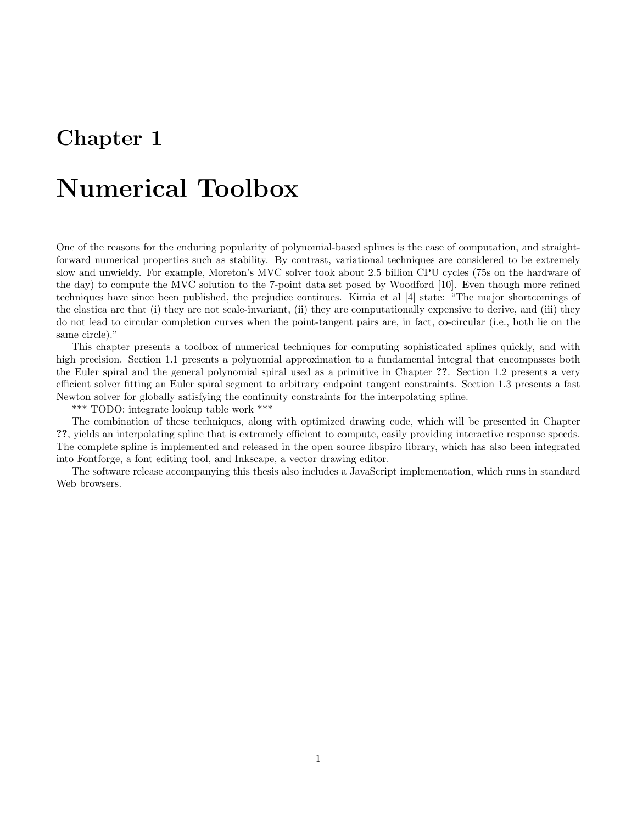## Chapter 1

## Numerical Toolbox

One of the reasons for the enduring popularity of polynomial-based splines is the ease of computation, and straightforward numerical properties such as stability. By contrast, variational techniques are considered to be extremely slow and unwieldy. For example, Moreton's MVC solver took about 2.5 billion CPU cycles (75s on the hardware of the day) to compute the MVC solution to the 7-point data set posed by Woodford [10]. Even though more refined techniques have since been published, the prejudice continues. Kimia et al [4] state: "The major shortcomings of the elastica are that (i) they are not scale-invariant, (ii) they are computationally expensive to derive, and (iii) they do not lead to circular completion curves when the point-tangent pairs are, in fact, co-circular (i.e., both lie on the same circle)."

This chapter presents a toolbox of numerical techniques for computing sophisticated splines quickly, and with high precision. Section 1.1 presents a polynomial approximation to a fundamental integral that encompasses both the Euler spiral and the general polynomial spiral used as a primitive in Chapter ??. Section 1.2 presents a very efficient solver fitting an Euler spiral segment to arbitrary endpoint tangent constraints. Section 1.3 presents a fast Newton solver for globally satisfying the continuity constraints for the interpolating spline.

\*\*\* TODO: integrate lookup table work \*\*\*

The combination of these techniques, along with optimized drawing code, which will be presented in Chapter ??, yields an interpolating spline that is extremely efficient to compute, easily providing interactive response speeds. The complete spline is implemented and released in the open source libspiro library, which has also been integrated into Fontforge, a font editing tool, and Inkscape, a vector drawing editor.

The software release accompanying this thesis also includes a JavaScript implementation, which runs in standard Web browsers.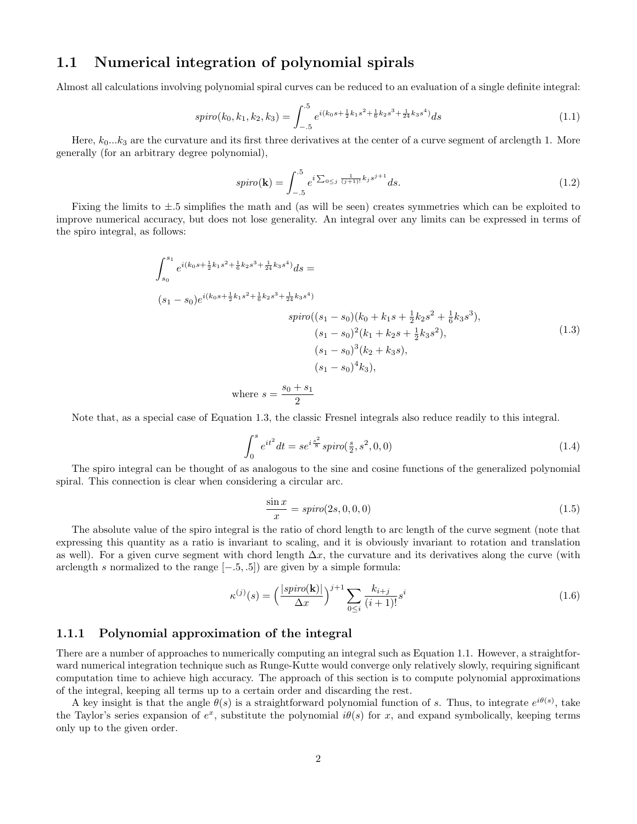## 1.1 Numerical integration of polynomial spirals

Almost all calculations involving polynomial spiral curves can be reduced to an evaluation of a single definite integral:

$$
spino(k_0, k_1, k_2, k_3) = \int_{-.5}^{.5} e^{i(k_0s + \frac{1}{2}k_1s^2 + \frac{1}{6}k_2s^3 + \frac{1}{24}k_3s^4)} ds \tag{1.1}
$$

Here,  $k_0...k_3$  are the curvature and its first three derivatives at the center of a curve segment of arclength 1. More generally (for an arbitrary degree polynomial),

$$
spin(\mathbf{k}) = \int_{-.5}^{.5} e^{i \sum_{0 \le j} \frac{1}{(j+1)!} k_j s^{j+1}} ds.
$$
 (1.2)

Fixing the limits to ±.5 simplifies the math and (as will be seen) creates symmetries which can be exploited to improve numerical accuracy, but does not lose generality. An integral over any limits can be expressed in terms of the spiro integral, as follows:

$$
\int_{s_0}^{s_1} e^{i(k_0s + \frac{1}{2}k_1s^2 + \frac{1}{6}k_2s^3 + \frac{1}{24}k_3s^4)} ds =
$$
\n
$$
(s_1 - s_0)e^{i(k_0s + \frac{1}{2}k_1s^2 + \frac{1}{6}k_2s^3 + \frac{1}{24}k_3s^4)}
$$
\n
$$
spino((s_1 - s_0)(k_0 + k_1s + \frac{1}{2}k_2s^2 + \frac{1}{6}k_3s^3),
$$
\n
$$
(s_1 - s_0)^2(k_1 + k_2s + \frac{1}{2}k_3s^2),
$$
\n
$$
(s_1 - s_0)^3(k_2 + k_3s),
$$
\n
$$
(s_1 - s_0)^4k_3),
$$
\nwhere  $s = \frac{s_0 + s_1}{2}$ 

Note that, as a special case of Equation 1.3, the classic Fresnel integrals also reduce readily to this integral.

$$
\int_0^s e^{it^2} dt = s e^{i\frac{s^2}{8}} spiro(\frac{s}{2}, s^2, 0, 0)
$$
\n(1.4)

The spiro integral can be thought of as analogous to the sine and cosine functions of the generalized polynomial spiral. This connection is clear when considering a circular arc.

$$
\frac{\sin x}{x} = spin(2s, 0, 0, 0) \tag{1.5}
$$

The absolute value of the spiro integral is the ratio of chord length to arc length of the curve segment (note that expressing this quantity as a ratio is invariant to scaling, and it is obviously invariant to rotation and translation as well). For a given curve segment with chord length  $\Delta x$ , the curvature and its derivatives along the curve (with arclength s normalized to the range  $[-.5, .5]$  are given by a simple formula:

$$
\kappa^{(j)}(s) = \left(\frac{|spin(\mathbf{k})|}{\Delta x}\right)^{j+1} \sum_{0 \le i} \frac{k_{i+j}}{(i+1)!} s^i \tag{1.6}
$$

#### 1.1.1 Polynomial approximation of the integral

There are a number of approaches to numerically computing an integral such as Equation 1.1. However, a straightforward numerical integration technique such as Runge-Kutte would converge only relatively slowly, requiring significant computation time to achieve high accuracy. The approach of this section is to compute polynomial approximations of the integral, keeping all terms up to a certain order and discarding the rest.

A key insight is that the angle  $\theta(s)$  is a straightforward polynomial function of s. Thus, to integrate  $e^{i\theta(s)}$ , take the Taylor's series expansion of  $e^x$ , substitute the polynomial  $i\theta(s)$  for x, and expand symbolically, keeping terms only up to the given order.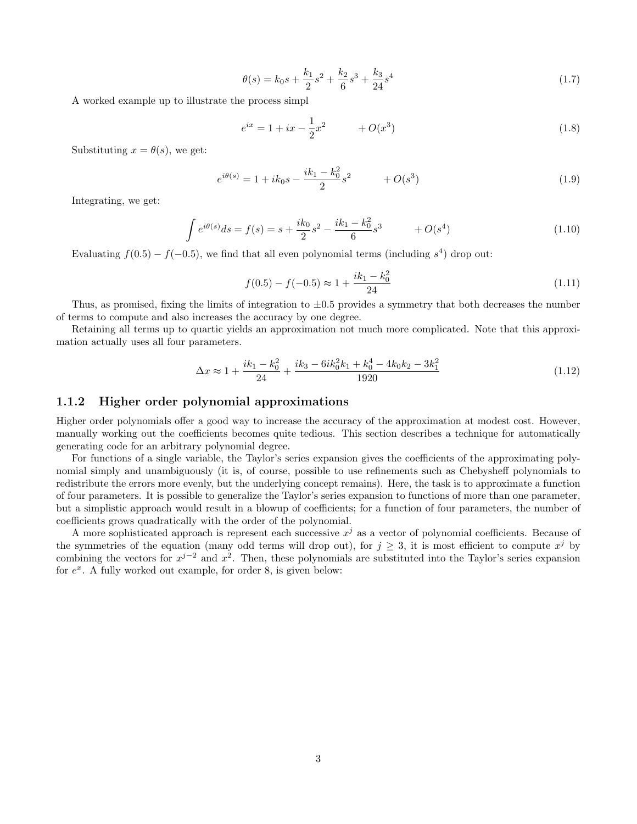$$
\theta(s) = k_0 s + \frac{k_1}{2} s^2 + \frac{k_2}{6} s^3 + \frac{k_3}{24} s^4 \tag{1.7}
$$

A worked example up to illustrate the process simpl

$$
e^{ix} = 1 + ix - \frac{1}{2}x^2 + O(x^3)
$$
\n(1.8)

Substituting  $x = \theta(s)$ , we get:

$$
e^{i\theta(s)} = 1 + ik_0 s - \frac{ik_1 - k_0^2}{2} s^2 + O(s^3)
$$
\n(1.9)

Integrating, we get:

$$
\int e^{i\theta(s)}ds = f(s) = s + \frac{ik_0}{2}s^2 - \frac{ik_1 - k_0^2}{6}s^3 + O(s^4)
$$
\n(1.10)

Evaluating  $f(0.5) - f(-0.5)$ , we find that all even polynomial terms (including  $s<sup>4</sup>$ ) drop out:

$$
f(0.5) - f(-0.5) \approx 1 + \frac{ik_1 - k_0^2}{24} \tag{1.11}
$$

Thus, as promised, fixing the limits of integration to  $\pm 0.5$  provides a symmetry that both decreases the number of terms to compute and also increases the accuracy by one degree.

Retaining all terms up to quartic yields an approximation not much more complicated. Note that this approximation actually uses all four parameters.

$$
\Delta x \approx 1 + \frac{ik_1 - k_0^2}{24} + \frac{ik_3 - 6ik_0^2k_1 + k_0^4 - 4k_0k_2 - 3k_1^2}{1920} \tag{1.12}
$$

#### 1.1.2 Higher order polynomial approximations

Higher order polynomials offer a good way to increase the accuracy of the approximation at modest cost. However, manually working out the coefficients becomes quite tedious. This section describes a technique for automatically generating code for an arbitrary polynomial degree.

For functions of a single variable, the Taylor's series expansion gives the coefficients of the approximating polynomial simply and unambiguously (it is, of course, possible to use refinements such as Chebysheff polynomials to redistribute the errors more evenly, but the underlying concept remains). Here, the task is to approximate a function of four parameters. It is possible to generalize the Taylor's series expansion to functions of more than one parameter, but a simplistic approach would result in a blowup of coefficients; for a function of four parameters, the number of coefficients grows quadratically with the order of the polynomial.

A more sophisticated approach is represent each successive  $x^j$  as a vector of polynomial coefficients. Because of the symmetries of the equation (many odd terms will drop out), for  $j \geq 3$ , it is most efficient to compute  $x^{j}$  by combining the vectors for  $x^{j-2}$  and  $x^2$ . Then, these polynomials are substituted into the Taylor's series expansion for  $e^x$ . A fully worked out example, for order 8, is given below: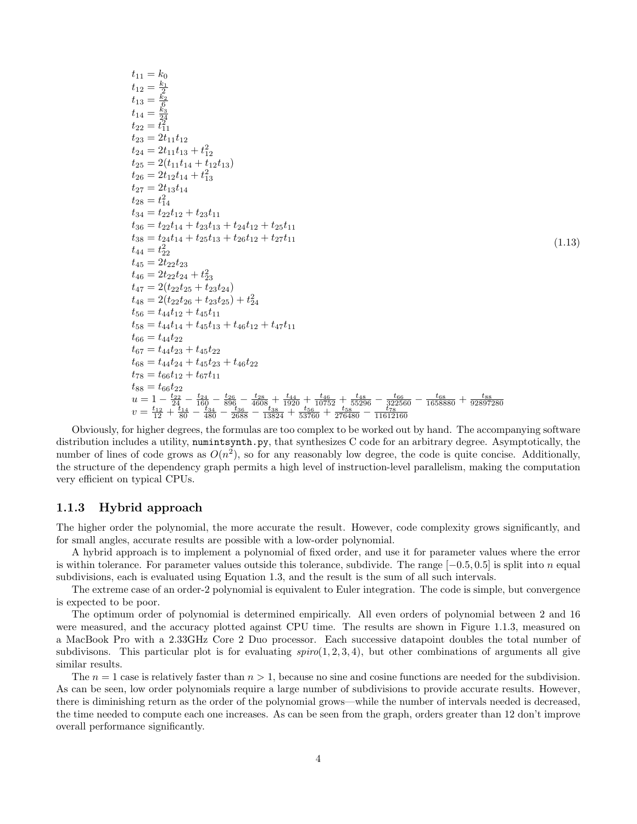$$
t_{11} = k_0
$$
\n
$$
t_{12} = \frac{k_1}{2}
$$
\n
$$
t_{13} = \frac{k_2}{6}
$$
\n
$$
t_{14} = \frac{5_2}{24}
$$
\n
$$
t_{22} = t_{11}^2
$$
\n
$$
t_{23} = 2t_{11}t_{12}
$$
\n
$$
t_{24} = 2t_{11}t_{13} + t_{12}^2
$$
\n
$$
t_{25} = 2(t_{11}t_{14} + t_{12}t_{13})
$$
\n
$$
t_{26} = 2t_{12}t_{14} + t_{13}^2
$$
\n
$$
t_{27} = 2t_{13}t_{14}
$$
\n
$$
t_{28} = t_{14}^2
$$
\n
$$
t_{34} = t_{22}t_{12} + t_{23}t_{11}
$$
\n
$$
t_{36} = t_{22}t_{14} + t_{23}t_{13} + t_{24}t_{12} + t_{25}t_{11}
$$
\n
$$
t_{38} = t_{24}t_{14} + t_{25}t_{13} + t_{26}t_{12} + t_{27}t_{11}
$$
\n
$$
t_{44} = t_{22}^2
$$
\n
$$
t_{45} = 2t_{22}t_{23}
$$
\n
$$
t_{46} = 2t_{22}t_{24} + t_{23}^2
$$
\n
$$
t_{47} = 2(t_{22}t_{25} + t_{23}t_{24})
$$
\n
$$
t_{48} = 2(t_{22}t_{26} + t_{23}t_{25}) + t_{24}^2
$$
\n
$$
t_{56} = t_{44}t_{12} + t_{45}t_{11}
$$
\n
$$
t_{58} = t_{44}t_{14} + t_{45}t_{13} + t_{46}t_{12} + t_{47}t_{11}
$$
\n
$$
t_{66} = t_{44}t_{22}
$$
\n
$$
t_{67} = t_{44}t_{23
$$

(1.13)

Obviously, for higher degrees, the formulas are too complex to be worked out by hand. The accompanying software distribution includes a utility, numintsynth.py, that synthesizes C code for an arbitrary degree. Asymptotically, the number of lines of code grows as  $O(n^2)$ , so for any reasonably low degree, the code is quite concise. Additionally, the structure of the dependency graph permits a high level of instruction-level parallelism, making the computation very efficient on typical CPUs.

#### 1.1.3 Hybrid approach

The higher order the polynomial, the more accurate the result. However, code complexity grows significantly, and for small angles, accurate results are possible with a low-order polynomial.

A hybrid approach is to implement a polynomial of fixed order, and use it for parameter values where the error is within tolerance. For parameter values outside this tolerance, subdivide. The range  $[-0.5, 0.5]$  is split into n equal subdivisions, each is evaluated using Equation 1.3, and the result is the sum of all such intervals.

The extreme case of an order-2 polynomial is equivalent to Euler integration. The code is simple, but convergence is expected to be poor.

The optimum order of polynomial is determined empirically. All even orders of polynomial between 2 and 16 were measured, and the accuracy plotted against CPU time. The results are shown in Figure 1.1.3, measured on a MacBook Pro with a 2.33GHz Core 2 Duo processor. Each successive datapoint doubles the total number of subdivisons. This particular plot is for evaluating  $spin(1, 2, 3, 4)$ , but other combinations of arguments all give similar results.

The  $n = 1$  case is relatively faster than  $n > 1$ , because no sine and cosine functions are needed for the subdivision. As can be seen, low order polynomials require a large number of subdivisions to provide accurate results. However, there is diminishing return as the order of the polynomial grows—while the number of intervals needed is decreased, the time needed to compute each one increases. As can be seen from the graph, orders greater than 12 don't improve overall performance significantly.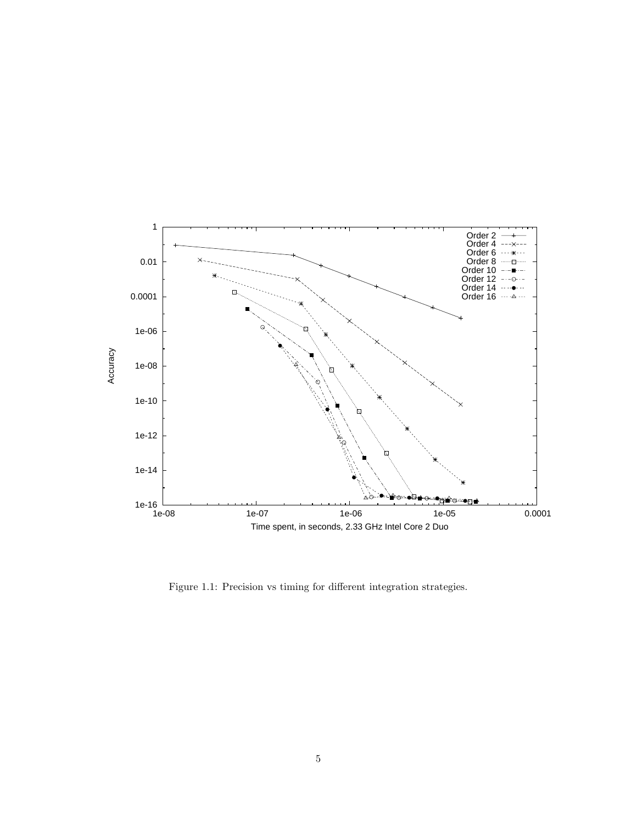

Figure 1.1: Precision vs timing for different integration strategies.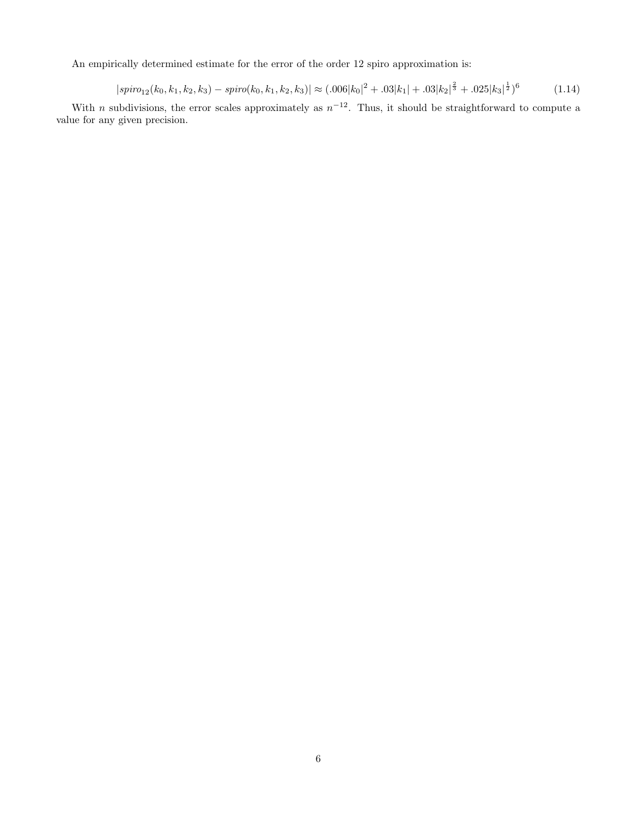An empirically determined estimate for the error of the order 12 spiro approximation is:

$$
|spino_{12}(k_0, k_1, k_2, k_3) - spino(k_0, k_1, k_2, k_3)| \approx (.006|k_0|^2 + .03|k_1| + .03|k_2|^{\frac{2}{3}} + .025|k_3|^{\frac{1}{2}})^6 \tag{1.14}
$$

With *n* subdivisions, the error scales approximately as  $n^{-12}$ . Thus, it should be straightforward to compute a value for any given precision.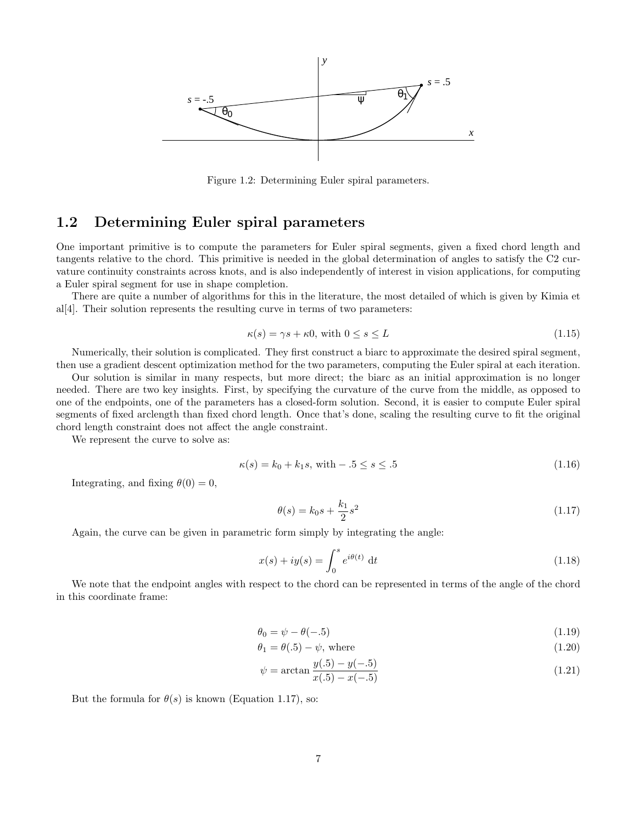

Figure 1.2: Determining Euler spiral parameters.

## 1.2 Determining Euler spiral parameters

One important primitive is to compute the parameters for Euler spiral segments, given a fixed chord length and tangents relative to the chord. This primitive is needed in the global determination of angles to satisfy the C2 curvature continuity constraints across knots, and is also independently of interest in vision applications, for computing a Euler spiral segment for use in shape completion.

There are quite a number of algorithms for this in the literature, the most detailed of which is given by Kimia et al[4]. Their solution represents the resulting curve in terms of two parameters:

$$
\kappa(s) = \gamma s + \kappa 0, \text{ with } 0 \le s \le L \tag{1.15}
$$

Numerically, their solution is complicated. They first construct a biarc to approximate the desired spiral segment, then use a gradient descent optimization method for the two parameters, computing the Euler spiral at each iteration.

Our solution is similar in many respects, but more direct; the biarc as an initial approximation is no longer needed. There are two key insights. First, by specifying the curvature of the curve from the middle, as opposed to one of the endpoints, one of the parameters has a closed-form solution. Second, it is easier to compute Euler spiral segments of fixed arclength than fixed chord length. Once that's done, scaling the resulting curve to fit the original chord length constraint does not affect the angle constraint.

We represent the curve to solve as:

$$
\kappa(s) = k_0 + k_1 s, \text{ with } -0.5 \le s \le 0.5 \tag{1.16}
$$

Integrating, and fixing  $\theta(0) = 0$ ,

$$
\theta(s) = k_0 s + \frac{k_1}{2} s^2 \tag{1.17}
$$

Again, the curve can be given in parametric form simply by integrating the angle:

$$
x(s) + iy(s) = \int_0^s e^{i\theta(t)} dt
$$
\n(1.18)

We note that the endpoint angles with respect to the chord can be represented in terms of the angle of the chord in this coordinate frame:

$$
\theta_0 = \psi - \theta(-.5) \tag{1.19}
$$

$$
\theta_1 = \theta(.5) - \psi, \text{ where} \tag{1.20}
$$

$$
\psi = \arctan \frac{y(.5) - y(-.5)}{x(.5) - x(-.5)}
$$
\n(1.21)

But the formula for  $\theta(s)$  is known (Equation 1.17), so: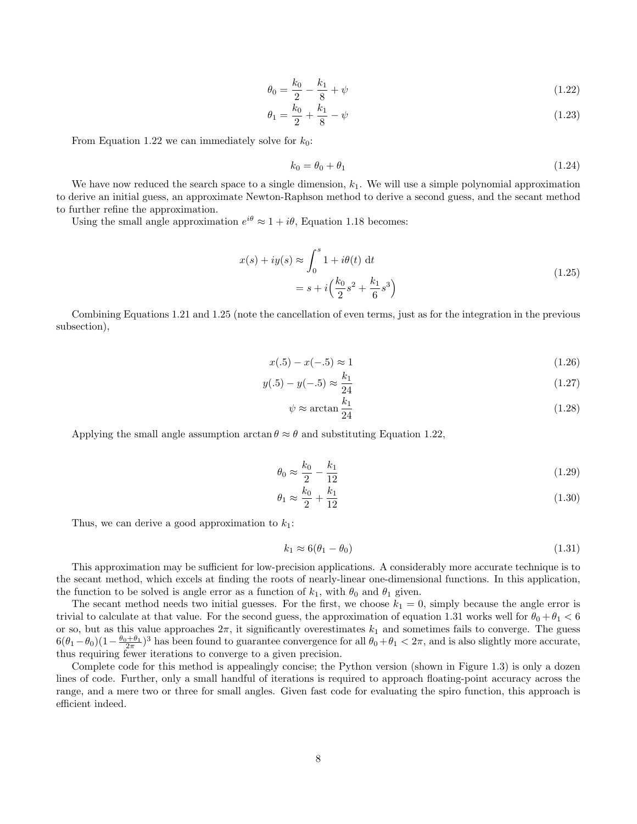$$
\theta_0 = \frac{k_0}{2} - \frac{k_1}{8} + \psi \tag{1.22}
$$

$$
\theta_1 = \frac{k_0}{2} + \frac{k_1}{8} - \psi \tag{1.23}
$$

From Equation 1.22 we can immediately solve for  $k_0$ :

$$
k_0 = \theta_0 + \theta_1 \tag{1.24}
$$

We have now reduced the search space to a single dimension,  $k_1$ . We will use a simple polynomial approximation to derive an initial guess, an approximate Newton-Raphson method to derive a second guess, and the secant method to further refine the approximation.

Using the small angle approximation  $e^{i\theta} \approx 1 + i\theta$ , Equation 1.18 becomes:

$$
x(s) + iy(s) \approx \int_0^s 1 + i\theta(t) dt
$$
  
=  $s + i\left(\frac{k_0}{2}s^2 + \frac{k_1}{6}s^3\right)$  (1.25)

Combining Equations 1.21 and 1.25 (note the cancellation of even terms, just as for the integration in the previous subsection),

$$
x(.5) - x(-.5) \approx 1\tag{1.26}
$$

$$
y(.5) - y(-.5) \approx \frac{k_1}{24} \tag{1.27}
$$

$$
\psi \approx \arctan \frac{k_1}{24} \tag{1.28}
$$

Applying the small angle assumption  $\arctan \theta \approx \theta$  and substituting Equation 1.22,

$$
\theta_0 \approx \frac{k_0}{2} - \frac{k_1}{12} \tag{1.29}
$$

$$
\theta_1 \approx \frac{k_0}{2} + \frac{k_1}{12} \tag{1.30}
$$

Thus, we can derive a good approximation to  $k_1$ :

$$
k_1 \approx 6(\theta_1 - \theta_0) \tag{1.31}
$$

This approximation may be sufficient for low-precision applications. A considerably more accurate technique is to the secant method, which excels at finding the roots of nearly-linear one-dimensional functions. In this application, the function to be solved is angle error as a function of  $k_1$ , with  $\theta_0$  and  $\theta_1$  given.

The secant method needs two initial guesses. For the first, we choose  $k_1 = 0$ , simply because the angle error is trivial to calculate at that value. For the second guess, the approximation of equation 1.31 works well for  $\theta_0 + \theta_1 < 6$ or so, but as this value approaches  $2\pi$ , it significantly overestimates  $k_1$  and sometimes fails to converge. The guess  $6(\theta_1-\theta_0)(1-\frac{\theta_0+\theta_1}{2\pi})^3$  has been found to guarantee convergence for all  $\theta_0+\theta_1< 2\pi$ , and is also slightly more accurate, thus requiring fewer iterations to converge to a given precision.

Complete code for this method is appealingly concise; the Python version (shown in Figure 1.3) is only a dozen lines of code. Further, only a small handful of iterations is required to approach floating-point accuracy across the range, and a mere two or three for small angles. Given fast code for evaluating the spiro function, this approach is efficient indeed.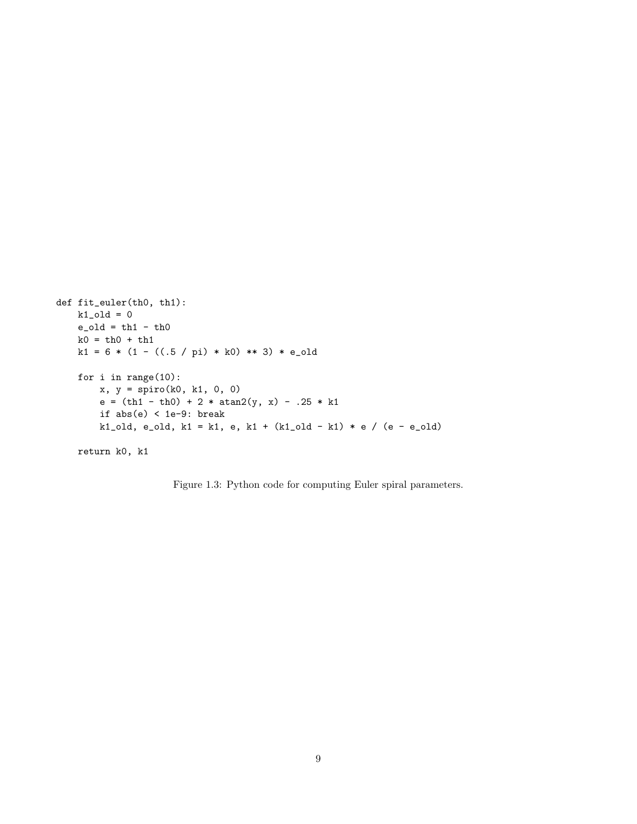```
def fit_euler(th0, th1):
k1<sub>-old</sub> = 0
 e-old = th1 - th0k0 = th0 + th1k1 = 6 * (1 - ((.5 / pi) * k0) ** 3) * e\_oldfor i in range(10):
     x, y = spiro(k0, k1, 0, 0)
     e = (th1 - th0) + 2 * atan2(y, x) - .25 * k1if abs(e) < 1e-9: break
     k1_old, e_old, k1 = k1, e, k1 + (k1_old - k1) * e / (e - e_old)
 return k0, k1
```
Figure 1.3: Python code for computing Euler spiral parameters.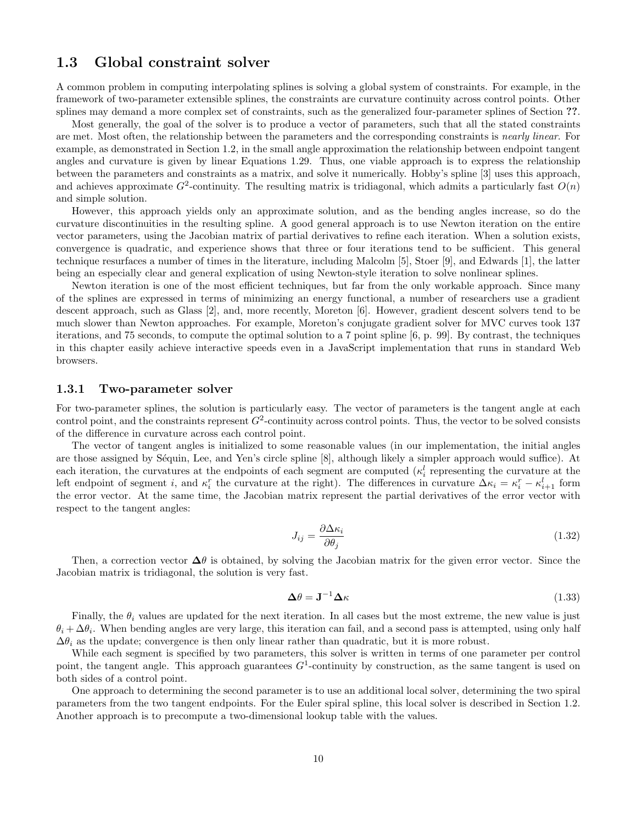### 1.3 Global constraint solver

A common problem in computing interpolating splines is solving a global system of constraints. For example, in the framework of two-parameter extensible splines, the constraints are curvature continuity across control points. Other splines may demand a more complex set of constraints, such as the generalized four-parameter splines of Section ??.

Most generally, the goal of the solver is to produce a vector of parameters, such that all the stated constraints are met. Most often, the relationship between the parameters and the corresponding constraints is *nearly linear*. For example, as demonstrated in Section 1.2, in the small angle approximation the relationship between endpoint tangent angles and curvature is given by linear Equations 1.29. Thus, one viable approach is to express the relationship between the parameters and constraints as a matrix, and solve it numerically. Hobby's spline [3] uses this approach, and achieves approximate  $G^2$ -continuity. The resulting matrix is tridiagonal, which admits a particularly fast  $O(n)$ and simple solution.

However, this approach yields only an approximate solution, and as the bending angles increase, so do the curvature discontinuities in the resulting spline. A good general approach is to use Newton iteration on the entire vector parameters, using the Jacobian matrix of partial derivatives to refine each iteration. When a solution exists, convergence is quadratic, and experience shows that three or four iterations tend to be sufficient. This general technique resurfaces a number of times in the literature, including Malcolm [5], Stoer [9], and Edwards [1], the latter being an especially clear and general explication of using Newton-style iteration to solve nonlinear splines.

Newton iteration is one of the most efficient techniques, but far from the only workable approach. Since many of the splines are expressed in terms of minimizing an energy functional, a number of researchers use a gradient descent approach, such as Glass [2], and, more recently, Moreton [6]. However, gradient descent solvers tend to be much slower than Newton approaches. For example, Moreton's conjugate gradient solver for MVC curves took 137 iterations, and 75 seconds, to compute the optimal solution to a 7 point spline [6, p. 99]. By contrast, the techniques in this chapter easily achieve interactive speeds even in a JavaScript implementation that runs in standard Web browsers.

#### 1.3.1 Two-parameter solver

For two-parameter splines, the solution is particularly easy. The vector of parameters is the tangent angle at each control point, and the constraints represent  $G^2$ -continuity across control points. Thus, the vector to be solved consists of the difference in curvature across each control point.

The vector of tangent angles is initialized to some reasonable values (in our implementation, the initial angles are those assigned by Séquin, Lee, and Yen's circle spline [8], although likely a simpler approach would suffice). At each iteration, the curvatures at the endpoints of each segment are computed  $(\kappa_i^l)$  representing the curvature at the left endpoint of segment i, and  $\kappa_i^r$  the curvature at the right). The differences in curvature  $\Delta \kappa_i = \kappa_i^r - \kappa_{i+1}^l$  form the error vector. At the same time, the Jacobian matrix represent the partial derivatives of the error vector with respect to the tangent angles:

$$
J_{ij} = \frac{\partial \Delta \kappa_i}{\partial \theta_j} \tag{1.32}
$$

Then, a correction vector  $\Delta\theta$  is obtained, by solving the Jacobian matrix for the given error vector. Since the Jacobian matrix is tridiagonal, the solution is very fast.

$$
\Delta \theta = \mathbf{J}^{-1} \Delta \kappa \tag{1.33}
$$

Finally, the  $\theta_i$  values are updated for the next iteration. In all cases but the most extreme, the new value is just  $\theta_i + \Delta\theta_i$ . When bending angles are very large, this iteration can fail, and a second pass is attempted, using only half  $\Delta\theta_i$  as the update; convergence is then only linear rather than quadratic, but it is more robust.

While each segment is specified by two parameters, this solver is written in terms of one parameter per control point, the tangent angle. This approach guarantees  $G<sup>1</sup>$ -continuity by construction, as the same tangent is used on both sides of a control point.

One approach to determining the second parameter is to use an additional local solver, determining the two spiral parameters from the two tangent endpoints. For the Euler spiral spline, this local solver is described in Section 1.2. Another approach is to precompute a two-dimensional lookup table with the values.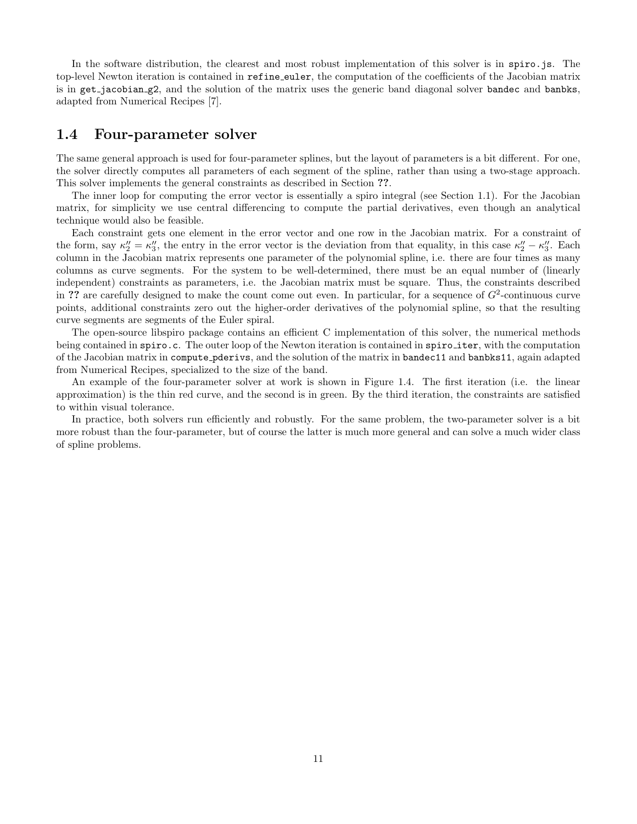In the software distribution, the clearest and most robust implementation of this solver is in spiro.js. The top-level Newton iteration is contained in refine euler, the computation of the coefficients of the Jacobian matrix is in get jacobian g2, and the solution of the matrix uses the generic band diagonal solver bandec and banbks, adapted from Numerical Recipes [7].

### 1.4 Four-parameter solver

The same general approach is used for four-parameter splines, but the layout of parameters is a bit different. For one, the solver directly computes all parameters of each segment of the spline, rather than using a two-stage approach. This solver implements the general constraints as described in Section ??.

The inner loop for computing the error vector is essentially a spiro integral (see Section 1.1). For the Jacobian matrix, for simplicity we use central differencing to compute the partial derivatives, even though an analytical technique would also be feasible.

Each constraint gets one element in the error vector and one row in the Jacobian matrix. For a constraint of the form, say  $\kappa_2'' = \kappa_3''$ , the entry in the error vector is the deviation from that equality, in this case  $\kappa_2'' - \kappa_3''$ . Each column in the Jacobian matrix represents one parameter of the polynomial spline, i.e. there are four times as many columns as curve segments. For the system to be well-determined, there must be an equal number of (linearly independent) constraints as parameters, i.e. the Jacobian matrix must be square. Thus, the constraints described in ?? are carefully designed to make the count come out even. In particular, for a sequence of  $G^2$ -continuous curve points, additional constraints zero out the higher-order derivatives of the polynomial spline, so that the resulting curve segments are segments of the Euler spiral.

The open-source libspiro package contains an efficient C implementation of this solver, the numerical methods being contained in spiro.c. The outer loop of the Newton iteration is contained in spiro iter, with the computation of the Jacobian matrix in compute pderivs, and the solution of the matrix in bandec11 and banbks11, again adapted from Numerical Recipes, specialized to the size of the band.

An example of the four-parameter solver at work is shown in Figure 1.4. The first iteration (i.e. the linear approximation) is the thin red curve, and the second is in green. By the third iteration, the constraints are satisfied to within visual tolerance.

In practice, both solvers run efficiently and robustly. For the same problem, the two-parameter solver is a bit more robust than the four-parameter, but of course the latter is much more general and can solve a much wider class of spline problems.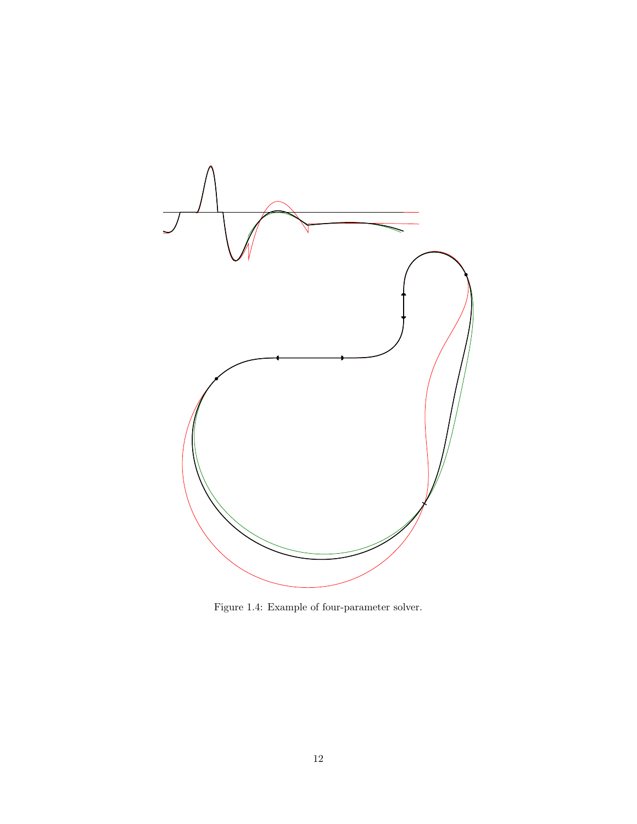

Figure 1.4: Example of four-parameter solver.